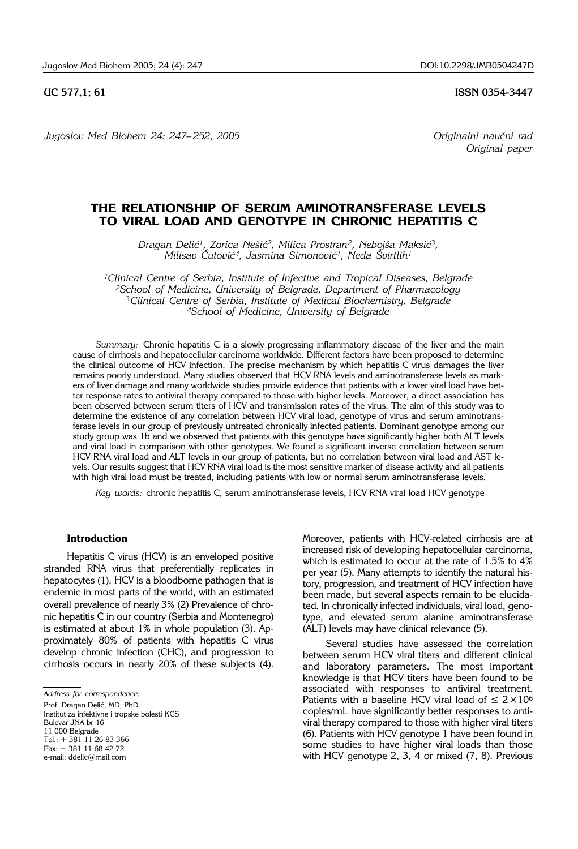**UC 577,1; 61 ISSN 0354-3447** 

*Jugoslov Med Biohem 24: 247– 252, 2005 Originalni nau~ni rad* 

*Original paper*

# **THE RELATIONSHIP OF SERUM AMINOTRANSFERASE LEVELS TO VIRAL LOAD AND GENOTYPE IN CHRONIC HEPATITIS C**

Dragan Delić<sup>1</sup>, Zorica Nešić<sup>2</sup>, Milica Prostran<sup>2</sup>, Nebojša Maksić<sup>3</sup>, *Milisav ^utovi}4, Jasmina Simonovi}1, Neda [virtlih1*

*1Clinical Centre of Serbia, Institute of Infective and Tropical Diseases, Belgrade 2School of Medicine, University of Belgrade, Department of Pharmacology 3Clinical Centre of Serbia, Institute of Medical Biochemistry, Belgrade 4School of Medicine, University of Belgrade*

*Summary:* Chronic hepatitis C is a slowly progressing inflammatory disease of the liver and the main cause of cirrhosis and hepatocellular carcinoma worldwide. Different factors have been proposed to determine the clinical outcome of HCV infection. The precise mechanism by which hepatitis C virus damages the liver remains poorly understood. Many studies observed that HCV RNA levels and aminotransferase levels as markers of liver damage and many worldwide studies provide evidence that patients with a lower viral load have better response rates to antiviral therapy compared to those with higher levels. Moreover, a direct association has been observed between serum titers of HCV and transmission rates of the virus. The aim of this study was to determine the existence of any correlation between HCV viral load, genotype of virus and serum aminotransferase levels in our group of previously untreated chronically infected patients. Dominant genotype among our study group was 1b and we observed that patients with this genotype have significantly higher both ALT levels and viral load in comparison with other genotypes. We found a significant inverse correlation between serum HCV RNA viral load and ALT levels in our group of patients, but no correlation between viral load and AST levels. Our results suggest that HCV RNA viral load is the most sensitive marker of disease activity and all patients with high viral load must be treated, including patients with low or normal serum aminotransferase levels.

*Key words:* chronic hepatitis C, serum aminotransferase levels, HCV RNA viral load HCV genotype

### **Introduction**

Hepatitis C virus (HCV) is an enveloped positive stranded RNA virus that preferentially replicates in hepatocytes (1). HCV is a bloodborne pathogen that is endemic in most parts of the world, with an estimated overall prevalence of nearly 3% (2) Prevalence of chronic hepatitis C in our country (Serbia and Montenegro) is estimated at about 1% in whole population (3). Approximately 80% of patients with hepatitis C virus develop chronic infection (CHC), and progression to cirrhosis occurs in nearly 20% of these subjects (4).

*Address for correspondence:* 

Prof. Dragan Delić, MD, PhD

Institut za infektivne i tropske bolesti KCS Bulevar JNA br 16 11 000 Belarade

Tel.: + 381 11 26 83 366

 $Fax + 381 11 68 42 72$ 

e-mail: ddelic@mail.com

Moreover, patients with HCV-related cirrhosis are at increased risk of developing hepatocellular carcinoma, which is estimated to occur at the rate of 1.5% to 4% per year (5). Many attempts to identify the natural history, progression, and treatment of HCV infection have been made, but several aspects remain to be elucidated. In chronically infected individuals, viral load, genotype, and elevated serum alanine aminotransferase (ALT) levels may have clinical relevance (5).

Several studies have assessed the correlation between serum HCV viral titers and different clinical and laboratory parameters. The most important knowledge is that HCV titers have been found to be associated with responses to antiviral treatment. Patients with a baseline HCV viral load of  $\leq 2 \times 10^6$ copies/mL have significantly better responses to antiviral therapy compared to those with higher viral titers (6). Patients with HCV genotype 1 have been found in some studies to have higher viral loads than those with HCV genotype 2, 3, 4 or mixed (7, 8). Previous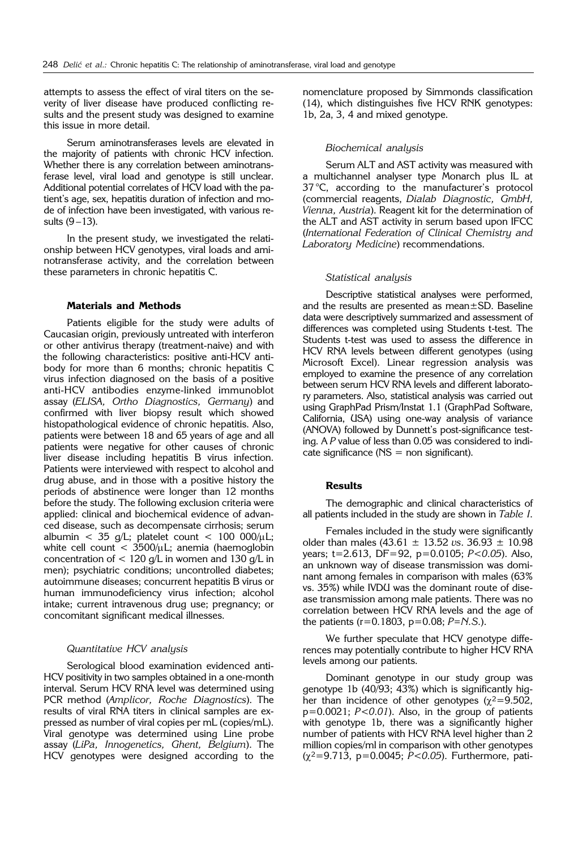attempts to assess the effect of viral titers on the severity of liver disease have produced conflicting results and the present study was designed to examine this issue in more detail.

Serum aminotransferases levels are elevated in the majority of patients with chronic HCV infection. Whether there is any correlation between aminotransferase level, viral load and genotype is still unclear. Additional potential correlates of HCV load with the patient's age, sex, hepatitis duration of infection and mode of infection have been investigated, with various results  $(9-13)$ .

In the present study, we investigated the relationship between HCV genotypes, viral loads and aminotransferase activity, and the correlation between these parameters in chronic hepatitis C.

# **Materials and Methods**

Patients eligible for the study were adults of Caucasian origin, previously untreated with interferon or other antivirus therapy (treatment-naive) and with the following characteristics: positive anti-HCV antibody for more than 6 months; chronic hepatitis C virus infection diagnosed on the basis of a positive anti-HCV antibodies enzyme-linked immunoblot assay (*ELISA, Ortho Diagnostics, Germany*) and confirmed with liver biopsy result which showed histopathological evidence of chronic hepatitis. Also, patients were between 18 and 65 years of age and all patients were negative for other causes of chronic liver disease including hepatitis B virus infection. Patients were interviewed with respect to alcohol and drug abuse, and in those with a positive history the periods of abstinence were longer than 12 months before the study. The following exclusion criteria were applied: clinical and biochemical evidence of advanced disease, such as decompensate cirrhosis; serum albumin < 35 g/L; platelet count < 100 000/ $\mu$ L; white cell count  $<$  3500/ $\mu$ L; anemia (haemoglobin concentration of  $< 120$  g/L in women and 130 g/L in men); psychiatric conditions; uncontrolled diabetes; autoimmune diseases; concurrent hepatitis B virus or human immunodeficiency virus infection; alcohol intake; current intravenous drug use; pregnancy; or concomitant significant medical illnesses.

#### *Quantitative HCV analysis*

Serological blood examination evidenced anti-HCV positivity in two samples obtained in a one-month interval. Serum HCV RNA level was determined using PCR method (*Amplicor, Roche Diagnostics*). The results of viral RNA titers in clinical samples are expressed as number of viral copies per mL (copies/mL). Viral genotype was determined using Line probe assay (*LiPa, Innogenetics, Ghent, Belgium*). The HCV genotypes were designed according to the

nomenclature proposed by Simmonds classification (14), which distinguishes five HCV RNK genotypes: 1b, 2a, 3, 4 and mixed genotype.

# *Biochemical analysis*

Serum ALT and AST activity was measured with a multichannel analyser type Monarch plus IL at 37 °C, according to the manufacturer's protocol (commercial reagents, *Dialab Diagnostic, GmbH, Vienna, Austria*). Reagent kit for the determination of the ALT and AST activity in serum based upon IFCC (*International Federation of Clinical Chemistry and Laboratory Medicine*) recommendations.

#### *Statistical analysis*

Descriptive statistical analyses were performed, and the results are presented as mean±SD. Baseline data were descriptively summarized and assessment of differences was completed using Students t-test. The Students t-test was used to assess the difference in HCV RNA levels between different genotypes (using Microsoft Excel). Linear regression analysis was employed to examine the presence of any correlation between serum HCV RNA levels and different laboratory parameters. Also, statistical analysis was carried out using GraphPad Prism/Instat 1.1 (GraphPad Software, California, USA) using one-way analysis of variance (ANOVA) followed by Dunnett's post-significance testing. A *P* value of less than 0.05 was considered to indicate significance  $(NS = non$  significant).

#### **Results**

The demographic and clinical characteristics of all patients included in the study are shown in *Table I*.

Females included in the study were significantly older than males (43.61 ± 13.52 *vs*. 36.93 ± 10.98 years; t=2.613, DF=92, p=0.0105; *P<0.05*). Also, an unknown way of disease transmission was dominant among females in comparison with males (63% vs. 35%) while IVDU was the dominant route of disease transmission among male patients. There was no correlation between HCV RNA levels and the age of the patients (r=0.1803, p=0.08; *P=N.S*.).

We further speculate that HCV genotype differences may potentially contribute to higher HCV RNA levels among our patients.

Dominant genotype in our study group was genotype 1b (40/93; 43%) which is significantly higher than incidence of other genotypes ( $\chi^2$ =9.502, p=0.0021; *P<0.01*). Also, in the group of patients with genotype 1b, there was a significantly higher number of patients with HCV RNA level higher than 2 million copies/ml in comparison with other genotypes (χ<sup>2</sup>=9.713, p=0.0045; *P<0.05*). Furthermore, pati-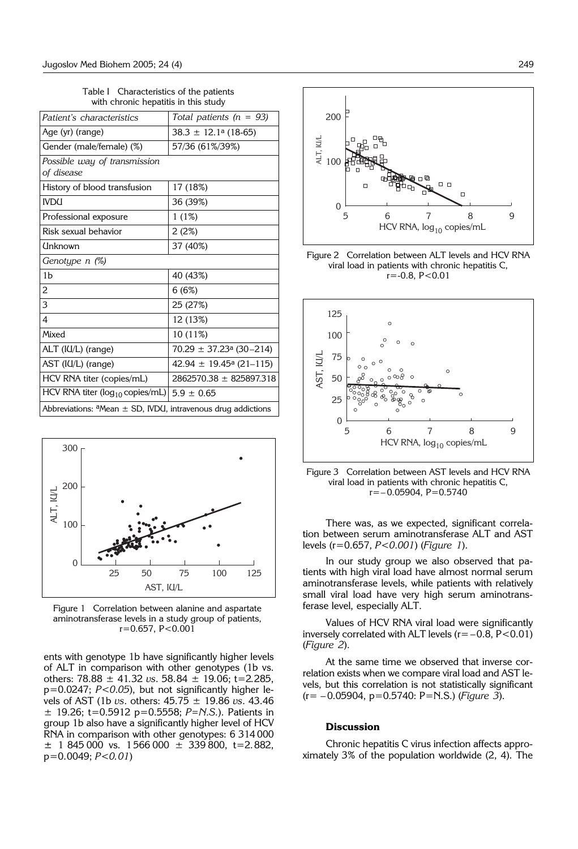| with chronic hepatitis in this study                                |                                         |
|---------------------------------------------------------------------|-----------------------------------------|
| Patient's characteristics                                           | Total patients ( $n = 93$ )             |
| Age (yr) (range)                                                    | $38.3 \pm 12.1$ <sup>a</sup> (18-65)    |
| Gender (male/female) (%)                                            | 57/36 (61%/39%)                         |
| Possible way of transmission<br>of disease                          |                                         |
| History of blood transfusion                                        | 17 (18%)                                |
| <b>IVDU</b>                                                         | 36 (39%)                                |
| Professional exposure                                               | 1(1%)                                   |
| Risk sexual behavior                                                | 2(2%)                                   |
| Unknown                                                             | 37 (40%)                                |
| Genotype n (%)                                                      |                                         |
| 1 <sub>b</sub>                                                      | 40 (43%)                                |
| $\overline{2}$                                                      | 6(6%)                                   |
| 3                                                                   | 25 (27%)                                |
| 4                                                                   | 12 (13%)                                |
| Mixed                                                               | 10 (11%)                                |
| ALT (IU/L) (range)                                                  | $70.29 \pm 37.23$ <sup>a</sup> (30-214) |
| AST (IU/L) (range)                                                  | $42.94 \pm 19.45^{\circ}$ (21-115)      |
| HCV RNA titer (copies/mL)                                           | 2862570.38 ± 825897.318                 |
| HCV RNA titer ( $log_{10}$ copies/mL) $5.9 \pm 0.65$                |                                         |
| Abbreviations: $a$ Mean $\pm$ SD, IVDU, intravenous drug addictions |                                         |

Table I Characteristics of the patients with chronic hepatitis in this study



Figure 1 Correlation between alanine and aspartate aminotransferase levels in a study group of patients, r=0.657, P<0.001

ents with genotype 1b have significantly higher levels of ALT in comparison with other genotypes (1b vs. others: 78.88 ± 41.32 *vs*. 58.84 ± 19.06; t=2.285, p=0.0247; *P<0.05*), but not significantly higher levels of AST (1b *vs*. others: 45.75 ± 19.86 *vs*. 43.46 ± 19.26; t=0.5912 p=0.5558; *P=N.S.*). Patients in group 1b also have a significantly higher level of HCV RNA in comparison with other genotypes: 6 314 000  $\pm$  1 845 000 vs. 1 566 000  $\pm$  339 800, t=2.882, p=0.0049; *P<0. 01*)



Figure 2 Correlation between ALT levels and HCV RNA viral load in patients with chronic hepatitis C,  $r = -0.8$ ,  $P < 0.01$ 



Figure 3 Correlation between AST levels and HCV RNA viral load in patients with chronic hepatitis C,  $r=-0.05904$ ,  $P=0.5740$ 

There was, as we expected, significant correlation between serum aminotransferase ALT and AST levels (r=0.657, *P<0.001*) (*Figure 1*).

In our study group we also observed that patients with high viral load have almost normal serum aminotransferase levels, while patients with relatively small viral load have very high serum aminotransferase level, especially ALT.

Values of HCV RNA viral load were significantly inversely correlated with ALT levels  $(r=-0.8, P<0.01)$ (*Figure 2*).

At the same time we observed that inverse correlation exists when we compare viral load and AST levels, but this correlation is not statistically significant (r= ' 0.05904, p=0.5740: P=N.S.) (*Figure 3*).

#### **Discussion**

Chronic hepatitis C virus infection affects approximately 3% of the population worldwide (2, 4). The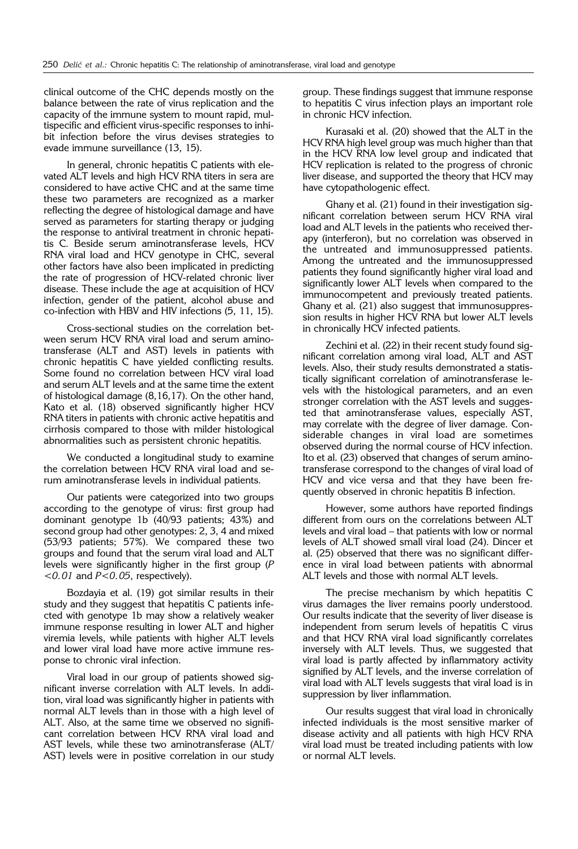clinical outcome of the CHC depends mostly on the balance between the rate of virus replication and the capacity of the immune system to mount rapid, multispecific and efficient virus-specific responses to inhibit infection before the virus devises strategies to evade immune surveillance (13, 15).

In general, chronic hepatitis C patients with elevated ALT levels and high HCV RNA titers in sera are considered to have active CHC and at the same time these two parameters are recognized as a marker reflecting the degree of histological damage and have served as parameters for starting therapy or judging the response to antiviral treatment in chronic hepatitis C. Beside serum aminotransferase levels, HCV RNA viral load and HCV genotype in CHC, several other factors have also been implicated in predicting the rate of progression of HCV-related chronic liver disease. These include the age at acquisition of HCV infection, gender of the patient, alcohol abuse and co-infection with HBV and HIV infections (5, 11, 15).

Cross-sectional studies on the correlation between serum HCV RNA viral load and serum aminotransferase (ALT and AST) levels in patients with chronic hepatitis C have yielded conflicting results. Some found no correlation between HCV viral load and serum ALT levels and at the same time the extent of histological damage (8,16,17). On the other hand, Kato et al. (18) observed significantly higher HCV RNA titers in patients with chronic active hepatitis and cirrhosis compared to those with milder histological abnormalities such as persistent chronic hepatitis.

We conducted a longitudinal study to examine the correlation between HCV RNA viral load and serum aminotransferase levels in individual patients.

Our patients were categorized into two groups according to the genotype of virus: first group had dominant genotype 1b (40/93 patients; 43%) and second group had other genotypes: 2, 3, 4 and mixed (53/93 patients; 57%). We compared these two groups and found that the serum viral load and ALT levels were significantly higher in the first group (*P <0. 01* and *P<0. 05*, respectively).

Bozdayia et al. (19) got similar results in their study and they suggest that hepatitis C patients infected with genotype 1b may show a relatively weaker immune response resulting in lower ALT and higher viremia levels, while patients with higher ALT levels and lower viral load have more active immune response to chronic viral infection.

Viral load in our group of patients showed significant inverse correlation with ALT levels. In addition, viral load was significantly higher in patients with normal ALT levels than in those with a high level of ALT. Also, at the same time we observed no significant correlation between HCV RNA viral load and AST levels, while these two aminotransferase (ALT/ AST) levels were in positive correlation in our study

group. These findings suggest that immune response to hepatitis C virus infection plays an important role in chronic HCV infection.

Kurasaki et al. (20) showed that the ALT in the HCV RNA high level group was much higher than that in the HCV RNA low level group and indicated that HCV replication is related to the progress of chronic liver disease, and supported the theory that HCV may have cytopathologenic effect.

Ghany et al. (21) found in their investigation significant correlation between serum HCV RNA viral load and ALT levels in the patients who received therapy (interferon), but no correlation was observed in the untreated and immunosuppressed patients. Among the untreated and the immunosuppressed patients they found significantly higher viral load and significantly lower ALT levels when compared to the immunocompetent and previously treated patients. Ghany et al. (21) also suggest that immunosuppression results in higher HCV RNA but lower ALT levels in chronically HCV infected patients.

Zechini et al. (22) in their recent study found significant correlation among viral load, ALT and AST levels. Also, their study results demonstrated a statistically significant correlation of aminotransferase levels with the histological parameters, and an even stronger correlation with the AST levels and suggested that aminotransferase values, especially AST, may correlate with the degree of liver damage. Considerable changes in viral load are sometimes observed during the normal course of HCV infection. Ito et al. (23) observed that changes of serum aminotransferase correspond to the changes of viral load of HCV and vice versa and that they have been frequently observed in chronic hepatitis B infection.

However, some authors have reported findings different from ours on the correlations between ALT levels and viral load – that patients with low or normal levels of ALT showed small viral load (24). Dincer et al. (25) observed that there was no significant difference in viral load between patients with abnormal ALT levels and those with normal ALT levels.

The precise mechanism by which hepatitis C virus damages the liver remains poorly understood. Our results indicate that the severity of liver disease is independent from serum levels of hepatitis C virus and that HCV RNA viral load significantly correlates inversely with ALT levels. Thus, we suggested that viral load is partly affected by inflammatory activity signified by ALT levels, and the inverse correlation of viral load with ALT levels suggests that viral load is in suppression by liver inflammation.

Our results suggest that viral load in chronically infected individuals is the most sensitive marker of disease activity and all patients with high HCV RNA viral load must be treated including patients with low or normal ALT levels.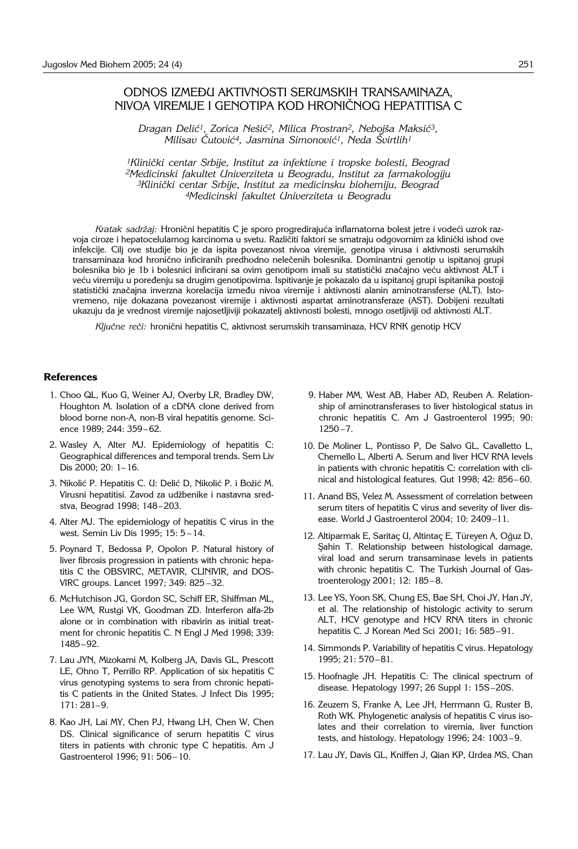# ODNOS IZMEĐU AKTIVNOSTI SERUMSKIH TRANSAMINAZA, NIVOA VIREMIJE I GENOTIPA KOD HRONI^NOG HEPATITISA C

Dragan Delić<sup>1</sup>, Zorica Nešić<sup>2</sup>, Milica Prostran<sup>2</sup>, Nebojša Maksić<sup>3</sup>, *Milisav Čutović<sup>4</sup>, Jasmina Simonović<sup>1</sup>, Neda Švirtlih<sup>1</sup>* 

<sup>1</sup>Klinički centar Srbije, Institut za infektivne i tropske bolesti, Beograd *2Medicinski fakultet Univerziteta u Beogradu, Institut za farmakologiju* <sup>3</sup>Klinički centar Srbije, Institut za medicinsku biohemiju, Beograd *4Medicinski fakultet Univerziteta u Beogradu*

*Kratak sadržaj:* Hronični hepatitis C je sporo progredirajuća inflamatorna bolest jetre i vodeći uzrok razvoja ciroze i hepatocelularnog karcinoma u svetu. Različiti faktori se smatraju odgovornim za klinički ishod ove infekcije. Cilj ove studije bio je da ispita povezanost nivoa viremije, genotipa virusa i aktivnosti serumskih transaminaza kod hronično inficiranih predhodno nelečenih bolesnika. Dominantni genotip u ispitanoj grupi bolesnika bio je 1b i bolesnici inficirani sa ovim genotipom imali su statistički značajno veću aktivnost ALT i veću viremiju u poređenju sa drugim genotipovima. Ispitivanje je pokazalo da u ispitanoj grupi ispitanika postoji statistički značajna inverzna korelacija između nivoa viremije i aktivnosti alanin aminotransferse (ALT). Istovremeno, nije dokazana povezanost viremije i aktivnosti aspartat aminotransferaze (AST). Dobijeni rezultati ukazuju da je vrednost viremije najosetljiviji pokazatelj aktivnosti bolesti, mnogo osetljiviji od aktivnosti ALT.

Ključne reči: hronični hepatitis C, aktivnost serumskih transaminaza, HCV RNK genotip HCV

#### **References**

- 1. Choo QL, Kuo G, Weiner AJ, Overby LR, Bradley DW, Houghton M. Isolation of a cDNA clone derived from blood borne non-A, non-B viral hepatitis genome. Science 1989; 244: 359-62.
- 2. Wasley A, Alter MJ. Epidemiology of hepatitis C: Geographical differences and temporal trends. Sem Liv Dis 2000; 20: 1-16.
- 3. Nikolić P. Hepatitis C. U: Delić D, Nikolić P. i Božić M. Virusni hepatitisi. Zavod za udžbenike i nastavna sredstva, Beograd 1998; 148-203.
- 4. Alter MJ. The epidemiology of hepatitis C virus in the west. Semin Liv Dis 1995;  $15: 5 - 14$ .
- 5. Poynard T, Bedossa P, Opolon P. Natural history of liver fibrosis progression in patients with chronic hepatitis C the OBSVIRC, METAVIR, CLINIVIR, and DOS-VIRC groups. Lancet 1997; 349: 825-32.
- 6. McHutchison JG, Gordon SC, Schiff ER, Shiffman ML, Lee WM, Rustgi VK, Goodman ZD. Interferon alfa-2b alone or in combination with ribavirin as initial treatment for chronic hepatitis C. N Engl J Med 1998; 339: 1485-92.
- 7. Lau JYN, Mizokami M, Kolberg JA, Davis GL, Prescott LE, Ohno T, Perrillo RP. Application of six hepatitis C virus genotyping systems to sera from chronic hepatitis C patients in the United States. J Infect Dis 1995; 171: 281-9.
- 8. Kao JH, Lai MY, Chen PJ, Hwang LH, Chen W, Chen DS. Clinical significance of serum hepatitis C virus titers in patients with chronic type C hepatitis. Am J Gastroenterol 1996; 91: 506-10.
- 9. Haber MM, West AB, Haber AD, Reuben A. Relationship of aminotransferases to liver histological status in chronic hepatitis C. Am J Gastroenterol 1995; 90:  $1250 - 7.$
- 10. De Moliner L, Pontisso P, De Salvo GL, Cavalletto L, Chemello L, Alberti A. Serum and liver HCV RNA levels in patients with chronic hepatitis C: correlation with clinical and histological features. Gut 1998; 42: 856-60.
- 11. Anand BS, Velez M. Assessment of correlation between serum titers of hepatitis C virus and severity of liver disease. World J Gastroenterol 2004; 10: 2409-11.
- 12. Altiparmak E, Saritaç U, Altintaç E, Türeyen A, Oğuz D, Sahin T. Relationship between histological damage, viral load and serum transaminase levels in patients with chronic hepatitis C. The Turkish Journal of Gastroenterology 2001; 12: 185-8.
- 13. Lee YS, Yoon SK, Chung ES, Bae SH, Choi JY, Han JY, et al. The relationship of histologic activity to serum ALT, HCV genotype and HCV RNA titers in chronic hepatitis C. J Korean Med Sci 2001; 16: 585-91.
- 14. Simmonds P. Variability of hepatitis C virus. Hepatology 1995; 21: 570-81.
- 15. Hoofnagle JH. Hepatitis C: The clinical spectrum of disease. Hepatology 1997; 26 Suppl 1: 15S-20S.
- 16. Zeuzem S, Franke A, Lee JH, Herrmann G, Ruster B, Roth WK. Phylogenetic analysis of hepatitis C virus isolates and their correlation to viremia, liver function tests, and histology. Hepatology 1996; 24: 1003-9.
- 17. Lau JY, Davis GL, Kniffen J, Qian KP, Urdea MS, Chan